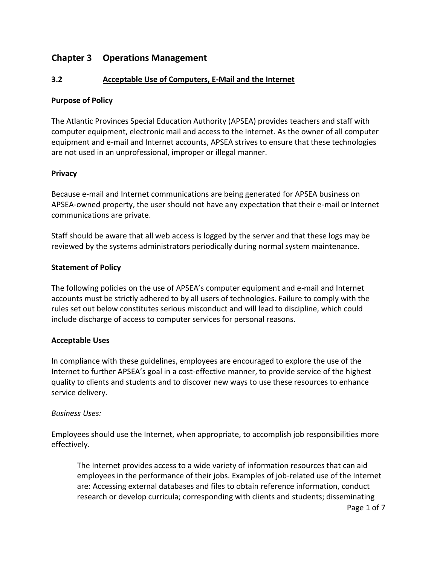# **Chapter 3 Operations Management**

# **3.2 Acceptable Use of Computers, E-Mail and the Internet**

### **Purpose of Policy**

The Atlantic Provinces Special Education Authority (APSEA) provides teachers and staff with computer equipment, electronic mail and access to the Internet. As the owner of all computer equipment and e-mail and Internet accounts, APSEA strives to ensure that these technologies are not used in an unprofessional, improper or illegal manner.

#### **Privacy**

Because e-mail and Internet communications are being generated for APSEA business on APSEA-owned property, the user should not have any expectation that their e-mail or Internet communications are private.

Staff should be aware that all web access is logged by the server and that these logs may be reviewed by the systems administrators periodically during normal system maintenance.

# **Statement of Policy**

The following policies on the use of APSEA's computer equipment and e-mail and Internet accounts must be strictly adhered to by all users of technologies. Failure to comply with the rules set out below constitutes serious misconduct and will lead to discipline, which could include discharge of access to computer services for personal reasons.

# **Acceptable Uses**

In compliance with these guidelines, employees are encouraged to explore the use of the Internet to further APSEA's goal in a cost-effective manner, to provide service of the highest quality to clients and students and to discover new ways to use these resources to enhance service delivery.

#### *Business Uses:*

Employees should use the Internet, when appropriate, to accomplish job responsibilities more effectively.

The Internet provides access to a wide variety of information resources that can aid employees in the performance of their jobs. Examples of job-related use of the Internet are: Accessing external databases and files to obtain reference information, conduct research or develop curricula; corresponding with clients and students; disseminating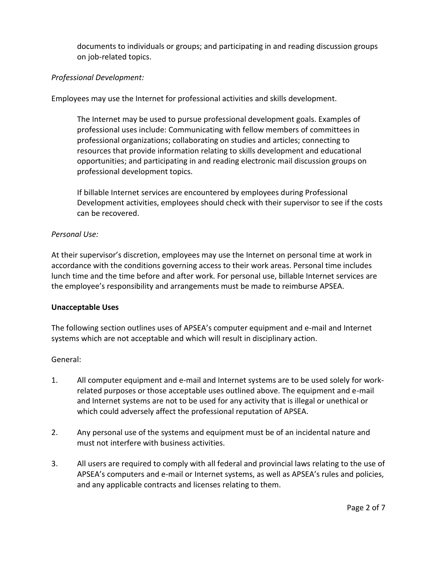documents to individuals or groups; and participating in and reading discussion groups on job-related topics.

# *Professional Development:*

Employees may use the Internet for professional activities and skills development.

The Internet may be used to pursue professional development goals. Examples of professional uses include: Communicating with fellow members of committees in professional organizations; collaborating on studies and articles; connecting to resources that provide information relating to skills development and educational opportunities; and participating in and reading electronic mail discussion groups on professional development topics.

If billable Internet services are encountered by employees during Professional Development activities, employees should check with their supervisor to see if the costs can be recovered.

#### *Personal Use:*

At their supervisor's discretion, employees may use the Internet on personal time at work in accordance with the conditions governing access to their work areas. Personal time includes lunch time and the time before and after work. For personal use, billable Internet services are the employee's responsibility and arrangements must be made to reimburse APSEA.

#### **Unacceptable Uses**

The following section outlines uses of APSEA's computer equipment and e-mail and Internet systems which are not acceptable and which will result in disciplinary action.

#### General:

- 1. All computer equipment and e-mail and Internet systems are to be used solely for workrelated purposes or those acceptable uses outlined above. The equipment and e-mail and Internet systems are not to be used for any activity that is illegal or unethical or which could adversely affect the professional reputation of APSEA.
- 2. Any personal use of the systems and equipment must be of an incidental nature and must not interfere with business activities.
- 3. All users are required to comply with all federal and provincial laws relating to the use of APSEA's computers and e-mail or Internet systems, as well as APSEA's rules and policies, and any applicable contracts and licenses relating to them.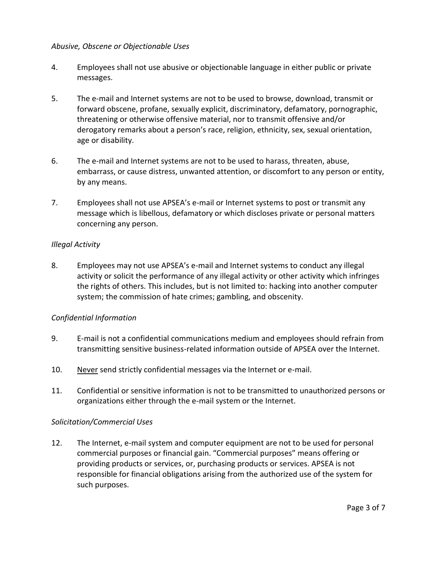#### *Abusive, Obscene or Objectionable Uses*

- 4. Employees shall not use abusive or objectionable language in either public or private messages.
- 5. The e-mail and Internet systems are not to be used to browse, download, transmit or forward obscene, profane, sexually explicit, discriminatory, defamatory, pornographic, threatening or otherwise offensive material, nor to transmit offensive and/or derogatory remarks about a person's race, religion, ethnicity, sex, sexual orientation, age or disability.
- 6. The e-mail and Internet systems are not to be used to harass, threaten, abuse, embarrass, or cause distress, unwanted attention, or discomfort to any person or entity, by any means.
- 7. Employees shall not use APSEA's e-mail or Internet systems to post or transmit any message which is libellous, defamatory or which discloses private or personal matters concerning any person.

# *Illegal Activity*

8. Employees may not use APSEA's e-mail and Internet systems to conduct any illegal activity or solicit the performance of any illegal activity or other activity which infringes the rights of others. This includes, but is not limited to: hacking into another computer system; the commission of hate crimes; gambling, and obscenity.

#### *Confidential Information*

- 9. E-mail is not a confidential communications medium and employees should refrain from transmitting sensitive business-related information outside of APSEA over the Internet.
- 10. Never send strictly confidential messages via the Internet or e-mail.
- 11. Confidential or sensitive information is not to be transmitted to unauthorized persons or organizations either through the e-mail system or the Internet.

#### *Solicitation/Commercial Uses*

12. The Internet, e-mail system and computer equipment are not to be used for personal commercial purposes or financial gain. "Commercial purposes" means offering or providing products or services, or, purchasing products or services. APSEA is not responsible for financial obligations arising from the authorized use of the system for such purposes.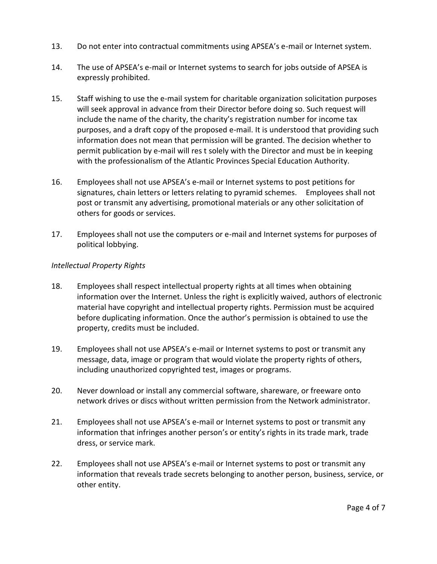- 13. Do not enter into contractual commitments using APSEA's e-mail or Internet system.
- 14. The use of APSEA's e-mail or Internet systems to search for jobs outside of APSEA is expressly prohibited.
- 15. Staff wishing to use the e-mail system for charitable organization solicitation purposes will seek approval in advance from their Director before doing so. Such request will include the name of the charity, the charity's registration number for income tax purposes, and a draft copy of the proposed e-mail. It is understood that providing such information does not mean that permission will be granted. The decision whether to permit publication by e-mail will res t solely with the Director and must be in keeping with the professionalism of the Atlantic Provinces Special Education Authority.
- 16. Employees shall not use APSEA's e-mail or Internet systems to post petitions for signatures, chain letters or letters relating to pyramid schemes. Employees shall not post or transmit any advertising, promotional materials or any other solicitation of others for goods or services.
- 17. Employees shall not use the computers or e-mail and Internet systems for purposes of political lobbying.

# *Intellectual Property Rights*

- 18. Employees shall respect intellectual property rights at all times when obtaining information over the Internet. Unless the right is explicitly waived, authors of electronic material have copyright and intellectual property rights. Permission must be acquired before duplicating information. Once the author's permission is obtained to use the property, credits must be included.
- 19. Employees shall not use APSEA's e-mail or Internet systems to post or transmit any message, data, image or program that would violate the property rights of others, including unauthorized copyrighted test, images or programs.
- 20. Never download or install any commercial software, shareware, or freeware onto network drives or discs without written permission from the Network administrator.
- 21. Employees shall not use APSEA's e-mail or Internet systems to post or transmit any information that infringes another person's or entity's rights in its trade mark, trade dress, or service mark.
- 22. Employees shall not use APSEA's e-mail or Internet systems to post or transmit any information that reveals trade secrets belonging to another person, business, service, or other entity.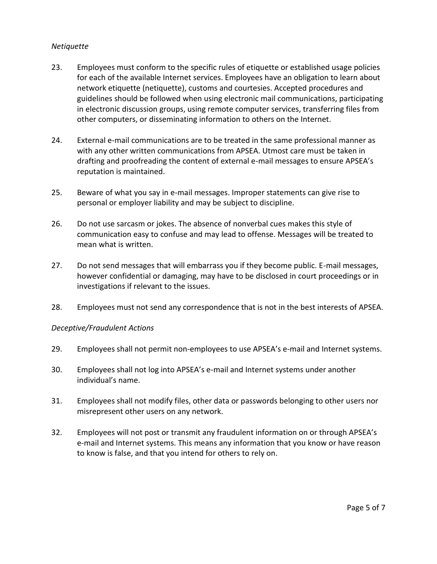#### *Netiquette*

- 23. Employees must conform to the specific rules of etiquette or established usage policies for each of the available Internet services. Employees have an obligation to learn about network etiquette (netiquette), customs and courtesies. Accepted procedures and guidelines should be followed when using electronic mail communications, participating in electronic discussion groups, using remote computer services, transferring files from other computers, or disseminating information to others on the Internet.
- 24. External e-mail communications are to be treated in the same professional manner as with any other written communications from APSEA. Utmost care must be taken in drafting and proofreading the content of external e-mail messages to ensure APSEA's reputation is maintained.
- 25. Beware of what you say in e-mail messages. Improper statements can give rise to personal or employer liability and may be subject to discipline.
- 26. Do not use sarcasm or jokes. The absence of nonverbal cues makes this style of communication easy to confuse and may lead to offense. Messages will be treated to mean what is written.
- 27. Do not send messages that will embarrass you if they become public. E-mail messages, however confidential or damaging, may have to be disclosed in court proceedings or in investigations if relevant to the issues.
- 28. Employees must not send any correspondence that is not in the best interests of APSEA.

#### *Deceptive/Fraudulent Actions*

- 29. Employees shall not permit non-employees to use APSEA's e-mail and Internet systems.
- 30. Employees shall not log into APSEA's e-mail and Internet systems under another individual's name.
- 31. Employees shall not modify files, other data or passwords belonging to other users nor misrepresent other users on any network.
- 32. Employees will not post or transmit any fraudulent information on or through APSEA's e-mail and Internet systems. This means any information that you know or have reason to know is false, and that you intend for others to rely on.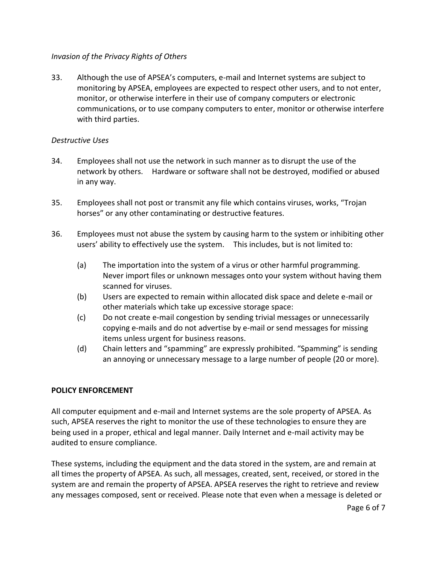# *Invasion of the Privacy Rights of Others*

33. Although the use of APSEA's computers, e-mail and Internet systems are subject to monitoring by APSEA, employees are expected to respect other users, and to not enter, monitor, or otherwise interfere in their use of company computers or electronic communications, or to use company computers to enter, monitor or otherwise interfere with third parties.

# *Destructive Uses*

- 34. Employees shall not use the network in such manner as to disrupt the use of the network by others. Hardware or software shall not be destroyed, modified or abused in any way.
- 35. Employees shall not post or transmit any file which contains viruses, works, "Trojan horses" or any other contaminating or destructive features.
- 36. Employees must not abuse the system by causing harm to the system or inhibiting other users' ability to effectively use the system. This includes, but is not limited to:
	- (a) The importation into the system of a virus or other harmful programming. Never import files or unknown messages onto your system without having them scanned for viruses.
	- (b) Users are expected to remain within allocated disk space and delete e-mail or other materials which take up excessive storage space:
	- (c) Do not create e-mail congestion by sending trivial messages or unnecessarily copying e-mails and do not advertise by e-mail or send messages for missing items unless urgent for business reasons.
	- (d) Chain letters and "spamming" are expressly prohibited. "Spamming" is sending an annoying or unnecessary message to a large number of people (20 or more).

# **POLICY ENFORCEMENT**

All computer equipment and e-mail and Internet systems are the sole property of APSEA. As such, APSEA reserves the right to monitor the use of these technologies to ensure they are being used in a proper, ethical and legal manner. Daily Internet and e-mail activity may be audited to ensure compliance.

These systems, including the equipment and the data stored in the system, are and remain at all times the property of APSEA. As such, all messages, created, sent, received, or stored in the system are and remain the property of APSEA. APSEA reserves the right to retrieve and review any messages composed, sent or received. Please note that even when a message is deleted or